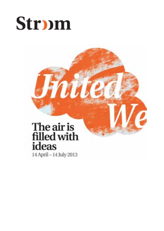## **Strpm**

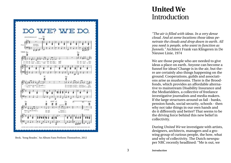

Beck, 'Song Reader,' An Album Fans Perform Themselves, 2012

## **Introduction United We**

*"The air is filled with ideas. In a very dense cloud. And at some locations those ideas pe netrate the clouds and drop down to earth. All you need is people, who want to function as funnels."* Architect Frank van Klingeren in De Nieuwe Linie, 1974

We are those people who are needed to give ideas a place on earth. Anyone can become a funnel for ideas! Change is in the air, but the re are certainly also things happening on the ground. Cooperations, guilds and associati ons arise as mushrooms. There is the Brood fonds, which provides an affordable alterna tive to mainstream Disability Insurance and the Mediaridders, a collective of freelance investigative journalists and media makers. If the large structures around us fail - banks, pension funds, social security, schools - then why not take things in our own hands and do it differently and better? That seems to be the driving force behind this new belief in collectivity.

During *United We* we investigate with artists, designers, architects, managers and a gro wing group of curious people, the how, what and why of collectivity. The Dutch newspa per NRC recently headlined: "Me is out, we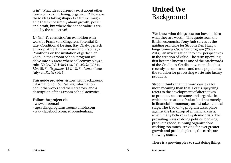is in". What ideas currently exist about other forms of working, living, organizing? How are these ideas taking shape? Is a future imagi able that is not simply about growth, power and profit, but where the added value is cre ated by the collective?

*United We* consists of an exhibition with work by Frank van Klingeren, Potential Es tate, Conditional Design, Itay Ohaly, gerlach en koop, Ante Timmermans and Pratchaya Phinthong on the invitation of gerlach en koop. In the Stroom School program we delve into six areas where collectivity plays a role: *United We Work* (13/04), *Make* (22/4), *Live* (5/6), *Organize* (12 & 13/6), *Learn* (June-July) en *Resist* (14/7).

This guide provides visitors with background information on *United We,* information about the works and their creators, and a description of the Stroom School activities.

#### **Follow the project via**

- www.stroom.nl
- upcyclingprogramstroom.tumblr.com
- www.facebook.com/stroomdenhaag

## **Background United We**

'We know what things cost but have no idea what they are worth.<sup>7</sup> This quote from the British economist Tony Judt serves as the guiding principle for Stroom Den Haag's long-running *Upcycling* program (2009- 2014), an investigation into new perspectives in the creation of value. The term upcycling first became known as one of the catchwords of the Cradle-to-Cradle movement, but has recently become more and more popular as the solution for processing waste into luxury products.

Stroom thinks that the word carries a lot more meaning than that. For us upcycling refers to the development of alternatives to produce, act, consume and organize in which the creation of value (and not merely in financial or monetary terms) takes central stage. The *Upcycling* program takes place against the backdrop of a financial crisis, which many believe is a systemic crisis. The prevailing ways of doing politics, banking, producing food, running organizations, working too much, striving for ever greater growth and profit, depleting the earth; are showing cracks.

There is a growing plea to start doing things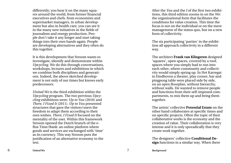differently; you hear it on the many squa res around the world, from former financial executives and chefs. from economists and supermarket managers, in urban develop ment but also in health care, you can see it in the many new initiatives in the fields of journalism and energy production. Peo ple don't take it any longer and start taking things into their own hands again. People are developing alternatives and they often do this together.

It is this development that Stroom wants to investigate, identify and demonstrate within *Upcycling*. We do this through conversations, workshops, lectures and exhibitions in which we combine both disciplines and generati ons. Indeed, the above sketched develop ment is not only of our times but knows early predecessors.

*United We* is the third exhibition within the *Upcycling* program. The two previous *Upcy cling* exhibitions were: *Up to You* (2010) and *There, I Fixed It* (2011). *Up to You* presented structures that gave the visitors/users the freedom to adapt them according to their own wishes. *There, I Fixed It* focused on the mentality of the user. Within this framework Stroom opened the Dutch branch of the eflux Time/Bank: an online platform where goods and services are exchanged with 'time' as its currency. This way Stroom puts the justification of an alternative economy to the test.

After the *You* and the *I* of the first two exhibi tions, this third edition zooms in on the *We*: the organizational form that facilitates the conditions for value creation. This time the focus is not on the individual or on the mere management of the status quo, but on a new form of collectivity.

The six participating 'parties' in the exhibi tion all approach collectivity in a different way.

The architect **Frank van Klingeren** designed 'squares', open spaces, covered by a roof, spaces where you simply had to run into each other, where community and collecti vity would simply spring up. In Het Karregat in Eindhoven a theater, play corner, bar and pingpong table were placed side by side, on an open floorplan, without hierarchy, without walls. He wanted to remove people and functions from their self-imposed com partments, to mix them up and bring them together.

The artists' collective **Potential Estate** on the other hand collaborates at specific times and on specific projects. Often the topic of their collaborative works is the economy and the creation of value. Their collaboration is very intense and it is only sporadically that they create work together.

The designers' collective **Conditional De sign** functions in a similar way. When there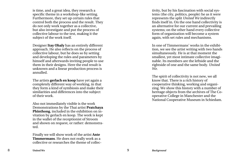is time, and a great idea, they research a specific theme in a workshop-like setting. Furthermore, they set up certain rules that control both the process and the result. They do not only work together as a collective, but also investigate and put the process of collective labour to the test, making it the subject of the work itself.

Designer **Itay Ohaly** has an entirely different approach. He also reflects on the process of collective labour, but he does so by setting and developing the rules and parameters by himself and afterwards inviting people to use them in their designs. Here the end result is unknown and a linear production process is annulled.

The artists **gerlach en koop** have yet again a completely different way of working, in that they form a kind of symbiosis and make their similarities and differences into the subject of their work.

Also not immediately visible is the work Demonstrations by the Thai artist **Pratchaya Phinthong**, included in the exhibition on in vitation by gerlach en koop. The work is kept in the wallet of the receptionist of Stroom and shown on request, or rather: demonstra ted.

Finally we will show work of the artist **Ante Timmermans**. He does not really work as a collective or researches the theme of collec -

tivity, but by his fascination with social sys tems (the city, politics, people) he as it were represents the split *United We* indirectly finds itself in. On the one hand collectivity is an alternative for our current and prevailing systems; on the other hand every collective form of organization will become a system again, with set rules and mechanisms.

In one of Timmermans' works in the exhibi tion, we see the artist writing with two hands simultaneously. He is at that moment the smallest, yet most intimate collective imagi nable. Its members are the leftside and the rightside of one and the same body. *United We.* 

The spirit of collectivity is not new, we all know that. There is a rich history of cooperative thinking, working and organi zing. We show this history with a number of heritage objects from the archives of The Cooperative College in Manchester and the National Cooperative Museum in Schiedam.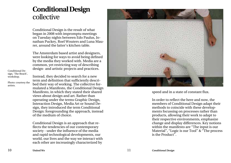## collective **Conditional Design**

Conditional Design is the result of what began in 2008 with impromptu meetings on Tuesday nights between Edo Paulus, Jo nathan Puckey, Roel Wouters and Luna Mau rer, around the latter's kitchen table.

The Amsterdam based artist and designers, were looking for ways to avoid being defined by the media they worked with. Media are a common, yet restricting way of describing design- and artistic projects and practices.

Conditional De sign, 'The Beach', workshop.

Photo: courtesy the artists.

Instead, they decided to search for a new term and definition that sufficiently descri bed their way of working. The collective for mulated a Manifesto, the Conditional Design Manifesto, in which they stated their shared views about design and art. Rather than operating under the terms Graphic Design, Interaction Design, Media Art or Sound De sign, they introduced the term Conditional Design: foregrounding the approach, instead of the medium of choice.

Conditional Design is an approach that re flects the tendencies of our contemporary society - under the influence of the media and rapid technological developments, our world, our lives and the way we interact with each other are increasingly characterized by



speed and in a state of constant flux.

In order to reflect the here and now, the members of Conditional Design adapt their methods to coincide with these develop ments focussing on processes rather than products, allowing their work to adapt to their respective environments, emphasize change and display differences. Key notions within the manifesto are "The input is our Material", "Logic is our Tool" & "The process is the Product".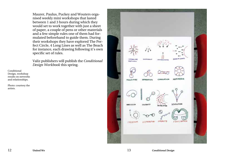Maurer, Paulus, Puckey and Wouters organised weekly mini workshops that lasted between 1 and 3 hours during which they would set to work together with just a sheet of paper, a couple of pens or other materials and a few simple rules one of them had formulated beforehand to guide them. During their workshops they have explored The Perfect Circle, 4 Long Lines as well as The Beach for instance, each drawing following it's own specific set of rules.

Valiz publishers will publish the *Conditional Design Workbook* this spring.

Conditional Design, workshop results on networks and relationships.

Photo: courtesy the artists.

CRUSHING **Bicliffed last LP HALLMAN NITWING** CORRUPTION HASS MEDIA NINOKITIES SEPARATISTS **DEVOLUTION CELEBRITZ MARCISSISM DISTRIBUTION USNAVETS** FOUILIBRIUM FREEDOM

12 **United We 13** *Conditional Design*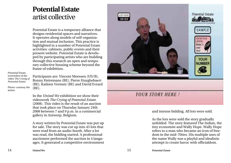## artist collective **Potential Estate**

Potential Estate is a temporary alliance that designs residential spaces and narratives. It operates along models of self-organization and mutual inclusion. This practice is highlighted in a number of Potential Estate activities: cabinets, public events and their present website. Potential Estate is developed by participating artists who are building through this research an open and temporary collective housing scheme beyond the frame of exhibition.

Potential Estate, screenshot of the video *The Crying of Potential Estate.*

Photo: courtesy the artists.

Participants are: Vincent Meessen (US/B), Ronny Heiremans (BE), Pierre Huyghebaert (BE), Katleen Vermeir (BE) and David Evrard (BE).

In the *United We* exhibition we show their videowork *The Crying of Potential Estate*  (2008). This video is the result of an auction that took place on Thursday January 24th 2008 between 7 and 9 p.m. in a commercial gallery in Antwerp, Belgium.

A story written by Potential Estate was put up for sale. The story was cut up into 45 lots that were read from an audio-booth. After a lot was read, the bidding started. A professional auctioneer performed the auction in 4 languages. It generated a competitive environment



#### and intense bidding. All lots were sold.

As the lots were sold the story gradually unfolded. The story featured The Indian, the tiny economist and Wally Hope. Wally Hope refers to a man who became an icon of freedom in the mid-70ties. His multiple uses of the name Wally was a playful and idealistic attempt to create havoc with officialdom.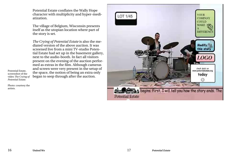Potential Estate conflates the Wally Hope character with multiplicity and hyper-mediatization.

The village of Belgium, Wisconsin presents itself as the utopian location where part of the story is set.

*The Crying of Potential Estate* is also the mediated version of the above auction. It was screened live from a mini TV-studio Potential Estate had set up in the basement gallery, next to the audio-booth. In fact all visitors present on the evening of the auction performed as extras in the film. Although cameras and screen were very present in the setup of the space, the notion of being an extra only began to seep through after the auction.

Potential Estate, screenshot of the video *The Crying of Potential Estate.*

Photo: courtesy the artists.

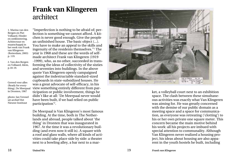## **Frank van Klingeren** architect

1. Marina van den Bergen en Piet Vollaard, Hinder en ontklontering. Achitectuur en maatschappij in het werk van Frank van Klingeren (Rotterdam, 2003) p. 119.

2. Van den Bergen en Vollaard, Idem, p.18-19.

Gereed voor alles (Ready for every thing), De Meerpaal in Dronten, 1967

photo: Jan Versnel uit archief Het Nieuwe Instituut

"Imperfection is nothing to be afraid of; per fection is something we cannot afford. A kit chen is never good enough. Give the people an unfinished house. The basic object (...). You have to make an appeal to the skills and ingenuity of the residents themselves." 1 The year is 1968 and these are the words of selfmade architect Frank van Klingeren (1919 -1999), who, as no other, succeeded in trans forming the ideas of collectivity of the sixties and seventies into buildings. In the above quote Van Klingeren openly campaigned against the indestructable standard-sized cupboards in state-subsidized houses. He was a great advocate of self-efficacy, in his view something entirely different from par ticipation or public involvement, things he didn't like at all: 'De Meerpaal never would have been built, if we had relied on public participation' 2 .

De Meerpaal is Van Klingeren's most famous building. At the time, both in The Nether lands and abroad, people talked about 'the thing' in Dronten that was inaugurated in 1967. At the time it was a revolutionary buil ding (and even now it still is). A square with a roof and glass walls, where all kinds of acti vities could take place side by side: a theater next to a bowling alley, a bar next to a mar -



ket, a volleyball court next to an exhibition space. The clash between these simultane ous activities was exactly what Van Klingeren was aiming for. He was greatly concerned with the demise of our public domain as a meeting space and a space for communica tion, as everyone was retreating ('clotting') to his or her own private one square meter. This concern became the main motive behind his work: all his projects are imbued with special attention to communality. Although Van Klingeren never realized a housing pro ject, his ideas about housing are also appa rent in the youth hostels he built, including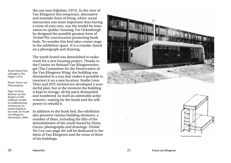the one near Kijkduin (1973). In the view of Van Klingeren this temporary, alternative and nomadic form of living, where social interaction was more important than having a room of your own, was the model for inno vation in (public) housing. For Ockenburgh he designed the possibly greatest form of *United We:* conversation promoting bunk beds. No wonder this bed takes center stage in the exhibition space. It is a remake, based on a photograph and drawing.

The youth hostel was demolished to make room for a new housing project. Thanks to the Comité tot Behoud Van Klingerenvleu gel (The Committee for the Preservation of the Van Klingeren Wing) the building was dismantled in a way that makes it possible to resurrect it on a new location. Studio Léon Thier and HVE Architecten developed a won derful plan, but at the moment the building is kept in storage, all the parts dismantled and numbered (in itself an admirable achie vement), waiting for the funds and the will power to rebuild it.

In addition to the bunk bed, the exhibition also presents various building elements, a number of films, including the film of the demolishment of the youth hostel by Denis Guzzo, photographs and drawings. *United We Live* (see page 40) will be dedicated to the ideas of Van Klingeren and the reuse of three of his buildings.





Youth Hostel Ock enburgh in The Hague (1973) Photo: Victor van Nieuwenhuys Page 142 from Marina van den Bergen en Piet Vollaard, Hinder en ontklontering. Achitectuur en maatschappij in het werk van Frank van Klingeren (Rotterdam, 2003)

20 **United We** 21 *Frank van Klingeren*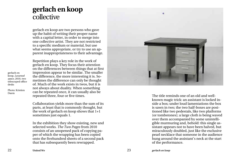## collective **gerlach en koop**

gerlach en koop are two persons who gave up the habit of writing their proper name with a capital letter, in order to merge into one collective artist. They are not restricted to a specific medium or material, but use what seems appropriate, or try to use an ap parent inappropriateness to their advantage.

Repetition plays a key role in the work of

gerlach en koop. They focus their attention on the differences between things that at first impression appear to be similar. The smaller the difference, the more interesting it is. So metimes the difference can only be thought of. Much of the work exists in twos, but it is not always about duality. When something can be repeated once, it can usually also be gerlach en koop, *Lessened space*, 2010, two telescoped office Photo: Kristien

repeated three, four or five times. Collaboration yields more than the sum of its parts, at least that is commonly thought, but the work of gerlach en koop shows that 1+1 sometimes just equals 1.

In the exhibition they show existing, new and selected works. *The Two Pages* from 2010 consists of an unopened pack of copying pa per of which the wrapping has been copied onto the fivehundred sheets of a second pack that has subsequently been rewrapped.



The title reminds one of an old and wellknown magic trick: an assistant is locked in side a box; under loud lamentations the box is sawn in two; the two half-boxes are posi tioned like two pedestals, like two platforms (or tombstones); a large cloth is being waved over them accompanied by some unintelli gible murmuring and, behold: this single as sistant appears not to have been halved, but miraculously doubled, just like the exclusive pearl necklace that someone in the audience hung around the assistant's neck at the start of the performance.

desks

Daem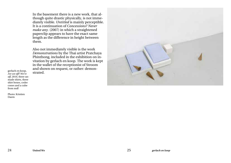In the basement there is a new work, that although quite drastic physically, is not immediately visible. *Untitled* is mainly perceptible. It is a continuation of *Concessions? Never make any.* (2007) in which a straightened paperclip appears to have the exact same length as the difference in height between them.

Also not immediately visible is the work *Demonstrations* by the Thai artist Pratchaya Phinthong, included in the exhibition on invitation by gerlach en koop. The work is kept in the wallet of the receptionist of Stroom and shown on request, or rather: demon-

gerlach en koop, **begerlach en koop, beget**<br>*Are we off? We're* **begated**. *off*, 2010, three unmade shirts, three shirt boxes, ceder cones and a cube from mdf

Photo: Kristien Daem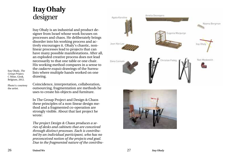## **Itay Ohaly** designer

Itay Ohaly is an industrial and product de signer from Israel whose work focuses on processes and chaos. He deliberately brings disorder into his working process and ac tively encourages it. Ohaly's chaotic, nonlinear processes lead to projects that can have many possible manifestations. After all, an exploded creative process does not lead necessarily to that one table or one chair. His working method compares in a sense to the *cadavre exquis* drawings of the Surrea lists where multiple hands worked on one drawing.

Itay Ohaly, *The Group Project,* C Mine, Genk, Belgium, 2012.

Photo's: courtesy the artist.

Coincidence, interpretation, collaboration, outsourcing, fragmentation are methods he uses to create his objects and furniture.

In The Group Project and Design & Chaos these principles of a non-linear design me thod and a fragmented co-operation are strongly visible. About that last project he wrote:

*The project Design & Chaos produces a se ries of desks and cabinets that are conceived through distinct processes. Each is contribu ted by an individual participant, who has no preconceived notion of the projects end goal. Due to the fragmented nature of the contribu -*



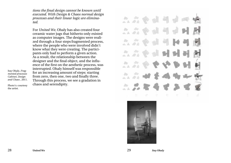*tions the final design cannot be known until executed. With Design & Chaos normal design processes and their linear logic are eliminated.*

For *United We*, Ohaly has also created four ceramic water jugs that hitherto only existed as computer images. The designs were realized through a four steps fragmented process, where the people who were involved didn't know what they were creating. The participants only had to perform a given action. As a result, the relationship between the designer and the final object, and the influence of the first on the aesthetic process, was interrupted. Ohaly himself was responsible for an increasing amount of steps: starting from zero, then one, two and finally three. Through this process, we see a gradation in chaos and serendipity.

Itay Ohaly, *Fragmented processes Cabinet, Design and Chaos* , 2011.

Photo's: courtesy the artist.





28 **United We** 29 *Itay Ohaly*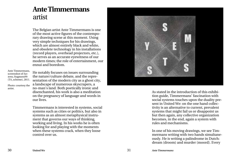## artist **Ante Timmermans**

The Belgian artist Ante Timmermans is one of the most active figures of the contempo rary drawing scene at this moment. Using very simple techniques for his drawings, which are almost entirely black and white, and obsolete technology in his installations (record players, overhead projectors, etc.), he serves as an accurate eyewitness of our modern times; the role of entertainment, our ennui and boredom.

Ante Timmermans, screenshot of *Sys tems*, fragment#9 (TA\_scheme), 2011.

Photo: courtesy the artist.

He notably focuses on issues surrounding the nature/culture debate, and the repre sentation of the modern city as a ghost city, a landscape of numerous skyscrapers, a no-man's land. Both poetically ironic and disenchanted, his work is also a meditation on the pregnancy of language and words in our lives.

Timmermans is interested in systems, social systems such as cities or politics, but also in systems as an almost metaphysical instru ment that governs our ways of thinking, working and living. In his works he is often looking for and playing with the moments when these systems crack, when they loose control over us.



As stated in the introduction of this exhibi tion guide, Timmermans' fascination with social systems touches upon the duality pre sent in United We: on the one hand collec tivity is an alternative to current, prevalent systems that might fail us or disappoint us but then again, any collective organization becomes, in the end, again a system with rules and mechanisms.

In one of his moving drawings, we see Tim mermans writing with two hands simultane ously. He is writing a palindrome in Dutch: dream (droom) and murder (moord). Every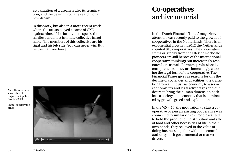actualization of a dream is also its termina tion, and the beginning of the search for a new dream.

In this work, but also in a more recent work where the artists played a game of OXO against himself, he forms, so to speak, the smallest and most intimate collective imagi nable. The members of this collective are his right and his left side. You can never win. But neither can you loose.



### archive material **Co-operatives**

In the Dutch Financial Times' magazine, attention was recently paid to the growth of cooperatives in the Netherlands. There is an exponential growth, in 2012 the Netherlands counted 910 cooperatives. The cooperative stems originally from the UK (the Rochdale pioneers are still heroes of the international cooperative thinking) but increasingly reso nates here as well. Farmers, professionals, entrepreneurs - they are increasingly choos ing the legal form of the cooperative. The Financial Times gives as reasons for this the decline of social ties and facilities, the transi tion from an industrial economy to a service economy, tax and legal advantages and our desire to bring the human dimension back into a society and economy that is dominat ed by growth, greed and exploitation.

In the '40 - '70, the motivation to start a cooperative or join an existing cooperative was connected to similar drives. People wanted to hold the production, distribution and sale of food and other necessities of life in their own hands, they believed in the value of doing business together without a central authority, be it governmental or marketdriven.

screenshot of

drome), 2009.

artist.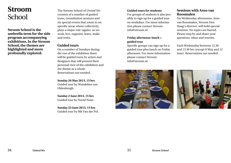## School

**Stroom School is the umbrella term for the side program accompanying exhibitions. In the Stroom School, the themes are highlighted and more profoundly explored.** 

The Stroom School of *United We*  consists of a number of guided tours, consultation sessions and six special events that zoom in on specific areas where collectivity plays a major role (again), as we: work, live, organize, learn, make and resist. **Stroom** The Stroom School of *United We* Guided tours for students

#### **Guided tours**

On a number of Sundays during the run of the exhibition there will be guided tours by artists and designers that will present their personal view of the exhibition and the theme as a whole. Reservations not needed.

#### **Sunday 26 May 2013, 15 hrs**

Guided tour by Wendelien van Oldenborgh.

**Sunday 2 June 2013, 15 hrs** Guided tour by Navid Nuur.

**Sunday 23 June 2013, 15 hrs** Guided tour by Bik Van der Pol.

For groups of students it also possible to sign up for a guided tour on weekdays. For more information please contact Stroom: info@stroom.nl

#### **Friday afternoon: lunch + guided tour**

Specific groups can sign up for a guided tour plus lunch on Friday afternoon. For more information please contact Stroom: info@stroom.nl

#### **Sessions with Arno van Roosmalen**

On Wednesday afternoons, Arno van Roosmalen, Stroom Den Haag's director, will hold special sessions. No topics are barred. Please stop by and share your questions, ideas and worries.

Each Wednesday between 12.30 and 13.30 hrs (except 8 May and 12 June). Reservations not needed.



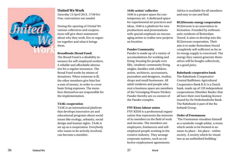

### **United We Work**

*Saturday 13 April 2013, 17:00 hrs Free, reservations not needed*

During the opening of *United We* various collectives and coopera tions will give short statements about why they work, live or organ ize together and what it brings them.

#### **Broodfonds (Bread Fund)**

The Bread Fund is a disability in surance for self-employed workers. A reliable and affordable alterna tive for a regular insurance. The Bread Fund works by means of donations. When someone is ill, the other members give him/her a sum of money, in order to cover basic living expenses. The mem bers themselves are responsible for the implementation.

#### **TAAK: cooperation**

TAAK is an international platform that develops innovative art and educational programs about social issues like ecology, urbanity, social design and human rights. TAAK is set up as a cooperation. Everybody who wants to be actively involved, can become a member.

#### **1646: artists' collective**

1646 is a project space for con temporary art. A dedicated space for experimental art practices and ideas, 1646 is a platform for new productions and presentations with special emphasis on encour aging artists to realise new projects on location.

#### **Pander Community**

Pander is made up of a variety of accomodations for working and living: housing for people over fifty, (student) community living, singles, families with children, artists, architects, accountants, journalists and designers, studios, shops and small businesses. All adult residents and people who rent a business space are members of the Vereniging Wonen Werken Pander thereby are co-owners of the Pander complex.

#### **FNV Kiem: labour union**

FNV KIEM is a professional organi zation that represents the interests of its members in the field of work and income. The members are employees, freelancers and selfemployed people working in the creative industry. They arrange corporate matters, such as col lective employment agreements.

Advice is available for all members and easy to use and find.

#### **BLIJStroom: energy cooperation**

BLIJstroom is an association in formation. Founded by enthousi astic residents of Rotterdam Noord, it aims to develop into the BLIJstroom cooperation. Their aim is to make Rotterdam Noord completely self-sufficient as far as its energy supply is concerned. The energy they cannot generate them selves will be bought collectively, at a good price.

#### **Rabobank: cooperative bank**

The Rabobank (Cooperative Central Raiffeisen-Agricultural Cooperative Bank B.A) is a Dutch bank, made up of 139 independent cooperations (Member Banks) that all have their own banking licence issued by De Nederlandsche Bank. The Rabobank is part of the Ra bobank Group.

#### **Order of Freemasons**

'The Freemason visualises himself as a symbolic rough ashlar, a stone, which needs to be formed to as sume its place - his place - within society. A society which he visual ises as an unfinished building.'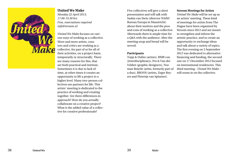

#### **United We Make**

*17.00-19.30 hrs Free, reservations required info@stroom.nl*

*United We Make* focuses on various ways of working as a collective. More and more artists, curators and critics are working as a collective, for part of or for all of their activities, on a project basis, temporarily or structurally. There are many reasons for this, that are both practical and intrinsic. Sometimes it is due to lack of time, at other times it creates an opportunity to lift a project to a higher level. Many two-person collectives are partners for life. This artists' meeting is dedicated to the practice of working and creating together. Are there differences in approach? How do you actually collaborate on a creative project? What is the added value of a collective for creative professionals?

Five collectives will give a short presentation and will talk with Saskia van Stein (director NAiM/ Bureau Europa in Maastricht) about their motives and the pros and cons of working as a collective. Afterwards there is ample time for a Q&A with the audience. After the meeting soup and bread will be served.

#### **Participants**

Topp & Dubio (artists), BMB con (interdisciplinary), Pot & Van der Velden (graphic designers), Norman Beierle (artist, formerly part of a duo), BROOS (artists, Zeger Reyers and Pietertje van Splunter).

#### **Stroom Meetings for Artists**

*United We Make* will be set up as an artists' meeting. These kind of meetings for artists from The Hague have been organized by Stroom since 2012 and are meant to strengthen and inform the artistic practice, and to create an opportunity to exchange ideas and talk about a variety of topics. The first evening on 5 September 2012 was dedicated to alternative financing and funding, the second one on 17 December 2012 focused on international residencies. This third meeting - *United We Make* will zoom in on the collective.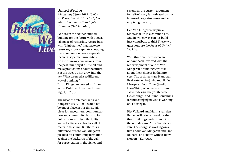

#### **United We Live**

*Wednesday 5 June 2013, 16.00 - 21.30 hrs, food & drinks incl., free admission, reservations info@ stroom.nl (Dutch spoken)*

"We are in the Netherlands still building for the future with a socia tal image of yesterday. We are busy with 'Lijnbaantjes' that make no sense any more, separate shopping malls, separate schools, separate theaters, separate universities; we are drawing conclusions from the past, multiply it a little bit and make predictions about the future. But the trees do not grow into the sky. What we need is a different way of thinking."

F. van Klingeren quoted in 'Inno vative Dutch architecture, Hous ing', 1,1970, p.10.

The ideas of architect Frank van Klingeren (1919-1999) would not be out of place in our times. His pleas for encounters, communica tion and community, but also for doing more with less, flexibility and self-efficacy, echo the call of many in this time. But there is a difference. Where Van Klingeren pleaded for community formation against the backdrop of the call for participation in the sixties and

seventies, the current argument for self-efficacy is motivated by the failure of large structures and an emptying treasury.

Can Van Klingeren inspire a renewed faith in a common life? And in which way can his build ings contribute to this? These two questions are the focus of *United We Live* .

With three architects who are or have been involved with the redevelopment of one of Van Klingeren's buildings, we talk about their choices in that pro cess. The architects are Hans van Beek (Atelier Pro) who rebuilt De Meerpaal, Leon Thier (Studio Leon Thier) who made a propo sal to redesign the youth hostel Ockenburgh, and Frans Benjamins (architecten|en|en) who is working on 't Karregat.

Piet Vollaard and Marina van den Bergen will briefly introduce the three buildings and comment on the new designs. Artist Wendelien van Oldenborgh is working on a film about Van Klingeren and Lina Bo Bardi and shares with us her vi sion on 't Karregat.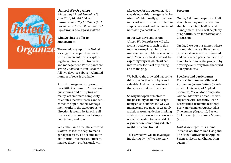

#### **United We Organize**

*Wednesday 12 and Thursday 13 June 2013, 10.00-17.00 hrs Entrance: euro 25,- for 2 days (incl. lunches and drinks) RSVP required: info@stroom.nl (English spoken)*

#### **What Art has to offer to Management**

The two-day symposium *United We Organize* is open to anyone with a sincere interest in explor ing the relationship between art and management. Participants are strongly advised to join us for the full two days (see above). A limited number of seats is available.

Art and management appear to have little in common. Art is about questioning and disrupting nor mality, art embraces complexity, celebrates inconsistencies and wel comes the open-ended. Manage ment works in the exact opposite direction it seems, by favoring all that is rational, structured, simpli fied, tamed, and so on.

Yet, at the same time, the art world is often 'asked' to adapt to mana gerial processes. To become more like 'normal' businesses. Efficient, market-driven, professional, with

a keen eye for the customer. Not surprisingly, this managerial 'colo nization' didn't really go down well in the art world. But is the relation ship between art and management necessarily a hostile one?

In our two-day symposium *United We Organize* we will take a constructive approach to this topic as we explore what art and management (could) have in com mon. More specifically, we will be exploring ways in which art can inform new forms of organizing and managing.

We believe the art world has some thing to offer that is unique and valuable. And we are convinced that art can make a difference.

So why not open ourselves to the possibility of art and design being able to change the way we manage and organize? If we apply artistic reasoning, design thinking, art-historical concepts or concepts of craftsmanship to the world of organization, something valuable might just come from it.

This is what we will be investigat ing during *United We Organize* .

#### **Program**

On day 1 different experts will talk about how they see the relation ship between (applied) art and management. There will be plenty of opportunity for interaction and discussion.

On day 2 we put our money where our mouth is. A real life organiza tional challenge will be presented and conference participants will be asked to help solve the problem by drawing exclusively from the world of (applied) arts.

#### **Speakers and participants:**

Klaas Kuitenbrouwer (Rietveld Academie), Jeroen Lutters (Wind esheim University of Applied Sciences), Mieke Moor (Twynstra Gudde), Marinka Copier (Univer sity of the Arts, Utrecht), Celine Berger (Rijksakademie resident), Bart van Rosmalen (ArtEZ), Elias Thielemans (Orgacom), Basten Stokhuyzen (artist), Anna Moreno (artist).

*United We Organize* is a joint initiative of Stroom Den Haag and The Hague University of Applied Sciences (lectoraat Change Man agement).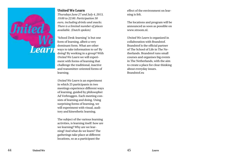

#### **United We Learn**

*Thursdays June 27 and July 4, 2013, 19:00 to 22:00. Participation 50 euro, including drinks and snacks. There is a limited number of places available. (Dutch spoken)*

'School Desk-learning' is but one form of learning, albeit a very dominant form. What are other ways to take information to us? By doing? By working in a group? With *United We Learn* we will experi ment with forms of learning that challenge the traditional, inactive and transmitter-oriented forms of learning.

*United We Learn* is an experiment in which 25 participants in two meetings experience different ways of learning, guided by philosopher Ad Verbruggen. Each meeting con sists of learning and doing. Using surprising forms of learning, we will experiment with visual, audi tory and kinesthetic learning.

The subject of the various learning activities, is learning itself: how are we learning? Why are we lear ning? And what do we learn? The gatherings take place at different locations, so as a participant the

effect of the environment on lear ning is felt.

The locations and program will be announced as soon as possible on www.stroom.nl.

*United We Learn* is organized in collaboration with Brandstof. Brandstof is the official partner of The School of Life in The Ne therlands. Brandstof runs small courses and organises big events in The Netherlands, with the aim to create a place for clear thinking about everyday issues. Brandstof.eu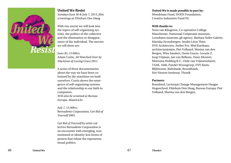

#### **United We Resist** *Sundays June 30 & July 7, 2013, film screenings at Filmhuis Den Haag*

With two movie we will look into the topics of self-organizing sys tems, the politics of the collective and the elimination or disappea rance of the individual. The movies we will show are:

*June 30, 13.00hrs.* Adam Curtis, *All Watched Over by Machines of Loving Grace* 2011.

A series of three documentaries about the way we have been co lonized by the machines we built ourselves. Curtis shows the emer gence of self-organizing systems and the relationship to our faith in computers.

*Will also be screened at Bureau Europa, Maastricht*

*July 7, 15.00hrs.* Bernadette Corporation, *Get Rid of Yourself* 2003.

*Get Rid of Yourself* by artist col lective Bernadette Corporation is an encounter with emerging, noninstituted or identity-less forms of protest that refuse the representa tional politics.

#### **United We is made possible in part by:**

Mondriaan Fund, DOEN Foundation, Creative Industries Fund NL

#### **With thanks to:**

Nora van Klingeren, Co-operative College Manchester, Nationaal Coöperatie museum, Loosduins museum, gb agency, Barbara Seiler Galerie, Mariska Zevenbergen, Studio Léon Thier, HVE Architecten, Atelier Pro, Miel Karthaus, architecten|en|en, Piet Vollaard, Marina van den Bergen, Wies Sanders, Denis Guzzo, Locatie Z, Joop Vrijman, Jan van Belkum, Onno Mostert, Meersma Holding B.V., Orde van Vrijmetselaren, TAAK, 1646, Pander Woongroep, FNV Kiem, BlijStroom, Rabobank, Broodfonds, Het Nieuwe Instituut, Thonik

#### **Partners:**

Brandstof, Lectoraat Change Management Haagse Hogeschool, Filmhuis Den Haag, Bureau Europa, Piet Vollaard, Marina van den Bergen,